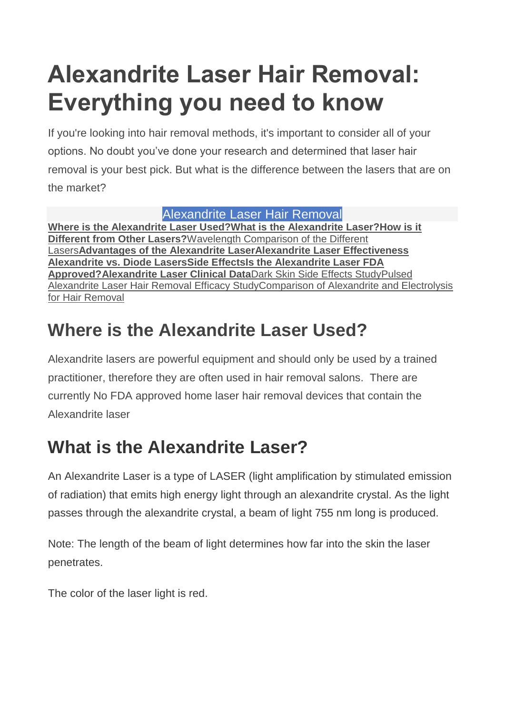# **Alexandrite Laser Hair Removal: Everything you need to know**

If you're looking into hair removal methods, it's important to consider all of your options. No doubt you've done your research and determined that laser hair removal is your best pick. But what is the difference between the lasers that are on the market?

#### Alexandrite Laser Hair Removal

**[Where is the Alexandrite Laser Used?What is the Alexandrite Laser?](http://hairfreelife.com/alexandrite-laser-hair-removal-everything-need-know/#Where-is-the-Alexandrite-Laser-Used?)[How is it](http://hairfreelife.com/alexandrite-laser-hair-removal-everything-need-know/#How-is-it-Different-from-Other-Lasers?-)  [Different from Other Lasers?](http://hairfreelife.com/alexandrite-laser-hair-removal-everything-need-know/#How-is-it-Different-from-Other-Lasers?-)**[Wavelength Comparison of the Different](http://hairfreelife.com/alexandrite-laser-hair-removal-everything-need-know/#Wavelength-Comparison-of-the-Different-Lasers)  [Lasers](http://hairfreelife.com/alexandrite-laser-hair-removal-everything-need-know/#Wavelength-Comparison-of-the-Different-Lasers)**[Advantages of the Alexandrite LaserAlexandrite Laser Effectiveness](http://hairfreelife.com/alexandrite-laser-hair-removal-everything-need-know/#Advantages-of-the-Alexandrite-Laser) [Alexandrite vs. Diode LasersSide Effects](http://hairfreelife.com/alexandrite-laser-hair-removal-everything-need-know/#Alexandrite-vs-Diode-Lasers)[Is the Alexandrite Laser FDA](http://hairfreelife.com/alexandrite-laser-hair-removal-everything-need-know/#Is-the-Alexandrite-Laser-FDA-Approved?)  [Approved?](http://hairfreelife.com/alexandrite-laser-hair-removal-everything-need-know/#Is-the-Alexandrite-Laser-FDA-Approved?)[Alexandrite Laser Clinical Data](http://hairfreelife.com/alexandrite-laser-hair-removal-everything-need-know/#Alexandrite-Laser-Clinical-Data)**[Dark Skin Side Effects Study](http://hairfreelife.com/alexandrite-laser-hair-removal-everything-need-know/#Alexandrite-Laser-Clinical-Data)[Pulsed](http://hairfreelife.com/alexandrite-laser-hair-removal-everything-need-know/#Pulsed-Alexandrite-Laser-Hair-Removal-Efficacy-Study)  [Alexandrite Laser Hair Removal Efficacy Study](http://hairfreelife.com/alexandrite-laser-hair-removal-everything-need-know/#Pulsed-Alexandrite-Laser-Hair-Removal-Efficacy-Study)[Comparison of Alexandrite and Electrolysis](http://hairfreelife.com/alexandrite-laser-hair-removal-everything-need-know/#Comparison-of-Alexandrite-and-Electrolysis-for-Hair-Removal)  [for Hair Removal](http://hairfreelife.com/alexandrite-laser-hair-removal-everything-need-know/#Comparison-of-Alexandrite-and-Electrolysis-for-Hair-Removal)

# **Where is the Alexandrite Laser Used?**

Alexandrite lasers are powerful equipment and should only be used by a trained practitioner, therefore they are often used in hair removal salons. There are currently No FDA approved home laser hair removal devices that contain the Alexandrite laser

# **What is the Alexandrite Laser?**

An Alexandrite Laser is a type of LASER (light amplification by stimulated emission of radiation) that emits high energy light through an alexandrite crystal. As the light passes through the alexandrite crystal, a beam of light 755 nm long is produced.

Note: The length of the beam of light determines how far into the skin the laser penetrates.

The color of the laser light is red.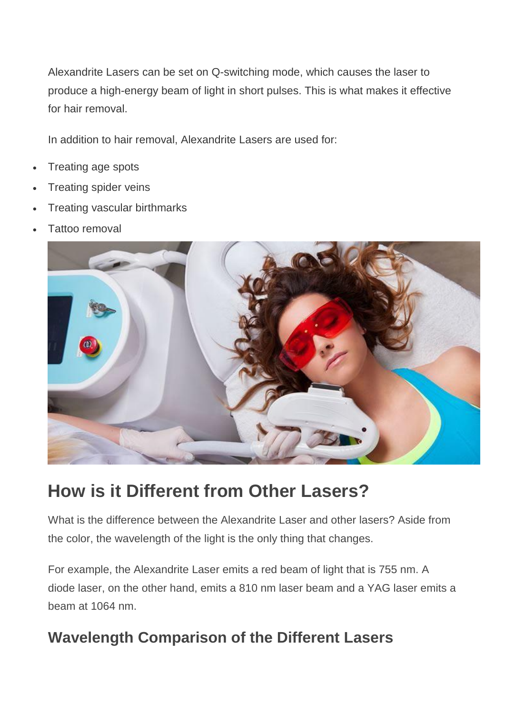Alexandrite Lasers can be set on Q-switching mode, which causes the laser to produce a high-energy beam of light in short pulses. This is what makes it effective for hair removal.

In addition to hair removal, Alexandrite Lasers are used for:

- Treating age spots
- Treating spider veins
- Treating vascular birthmarks
- Tattoo removal



### **How is it Different from Other Lasers?**

What is the difference between the Alexandrite Laser and other lasers? Aside from the color, the wavelength of the light is the only thing that changes.

For example, the Alexandrite Laser emits a red beam of light that is 755 nm. A diode laser, on the other hand, emits a 810 nm laser beam and a YAG laser emits a beam at 1064 nm.

#### **Wavelength Comparison of the Different Lasers**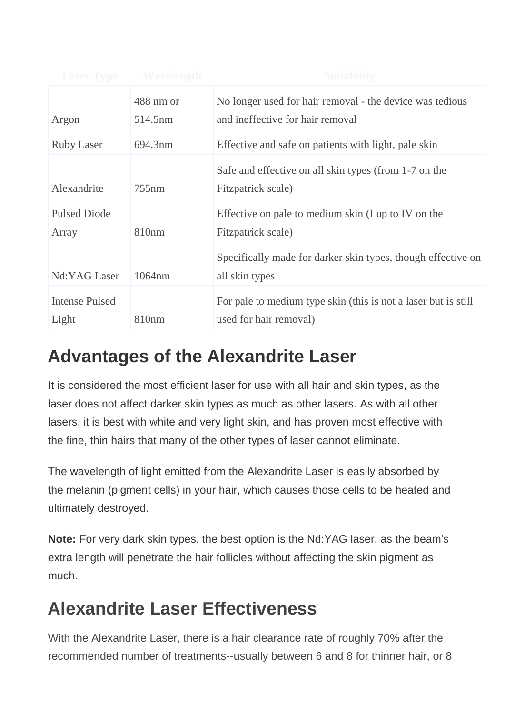| <b>Laser Type</b>              | <b>Wavelength</b> | <b>Suitability</b>                                                                       |
|--------------------------------|-------------------|------------------------------------------------------------------------------------------|
|                                | 488 nm or         | No longer used for hair removal - the device was tedious                                 |
| Argon                          | 514.5nm           | and ineffective for hair removal                                                         |
| <b>Ruby Laser</b>              | 694.3nm           | Effective and safe on patients with light, pale skin                                     |
| Alexandrite                    | 755nm             | Safe and effective on all skin types (from 1-7 on the<br>Fitzpatrick scale)              |
|                                |                   |                                                                                          |
| <b>Pulsed Diode</b>            |                   | Effective on pale to medium skin (I up to IV on the                                      |
| Array                          | 810 <sub>nm</sub> | Fitzpatrick scale)                                                                       |
| Nd:YAG Laser                   | 1064nm            | Specifically made for darker skin types, though effective on<br>all skin types           |
| <b>Intense Pulsed</b><br>Light | 810 <sub>nm</sub> | For pale to medium type skin (this is not a laser but is still<br>used for hair removal) |

# **Advantages of the Alexandrite Laser**

It is considered the most efficient laser for use with all hair and skin types, as the laser does not affect darker skin types as much as other lasers. As with all other lasers, it is best with white and very light skin, and has proven most effective with the fine, thin hairs that many of the other types of laser cannot eliminate.

The wavelength of light emitted from the Alexandrite Laser is easily absorbed by the melanin (pigment cells) in your hair, which causes those cells to be heated and ultimately destroyed.

**Note:** For very dark skin types, the best option is the Nd:YAG laser, as the beam's extra length will penetrate the hair follicles without affecting the skin pigment as much.

# **Alexandrite Laser Effectiveness**

With the Alexandrite Laser, there is a hair clearance rate of roughly 70% after the recommended number of treatments--usually between 6 and 8 for thinner hair, or 8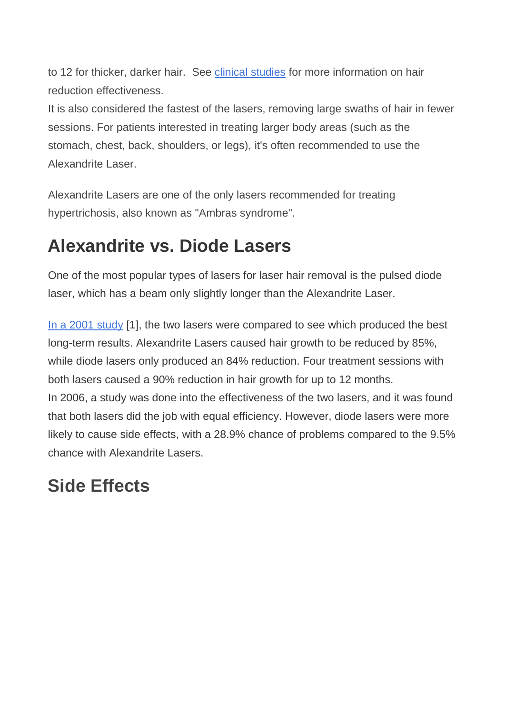to 12 for thicker, darker hair. See [clinical studies](http://hairfreelife.com/alexandrite-laser-hair-removal-everything-need-know/#clinical_data) for more information on hair reduction effectiveness.

It is also considered the fastest of the lasers, removing large swaths of hair in fewer sessions. For patients interested in treating larger body areas (such as the stomach, chest, back, shoulders, or legs), it's often recommended to use the Alexandrite Laser.

Alexandrite Lasers are one of the only lasers recommended for treating hypertrichosis, also known as "Ambras syndrome".

#### **Alexandrite vs. Diode Lasers**

One of the most popular types of lasers for laser hair removal is the pulsed diode laser, which has a beam only slightly longer than the Alexandrite Laser.

[In a 2001 study](http://www.ncbi.nlm.nih.gov/pubmed/11737125) [1], the two lasers were compared to see which produced the best long-term results. Alexandrite Lasers caused hair growth to be reduced by 85%, while diode lasers only produced an 84% reduction. Four treatment sessions with both lasers caused a 90% reduction in hair growth for up to 12 months. In 2006, a study was done into the effectiveness of the two lasers, and it was found that both lasers did the job with equal efficiency. However, diode lasers were more likely to cause side effects, with a 28.9% chance of problems compared to the 9.5% chance with Alexandrite Lasers.

### **Side Effects**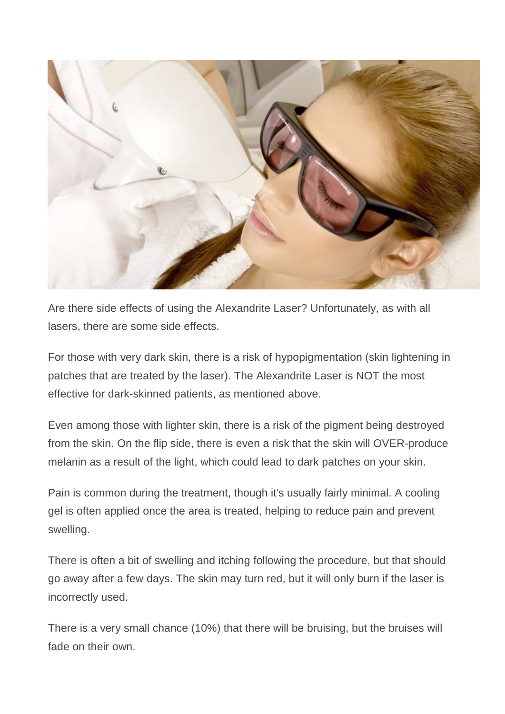

Are there side effects of using the Alexandrite Laser? Unfortunately, as with all lasers, there are some side effects.

For those with very dark skin, there is a risk of hypopigmentation (skin lightening in patches that are treated by the laser). The Alexandrite Laser is NOT the most effective for dark-skinned patients, as mentioned above.

Even among those with lighter skin, there is a risk of the pigment being destroyed from the skin. On the flip side, there is even a risk that the skin will OVER-produce melanin as a result of the light, which could lead to dark patches on your skin.

Pain is common during the treatment, though it's usually fairly minimal. A cooling gel is often applied once the area is treated, helping to reduce pain and prevent swelling.

There is often a bit of swelling and itching following the procedure, but that should go away after a few days. The skin may turn red, but it will only burn if the laser is incorrectly used.

There is a very small chance (10%) that there will be bruising, but the bruises will fade on their own.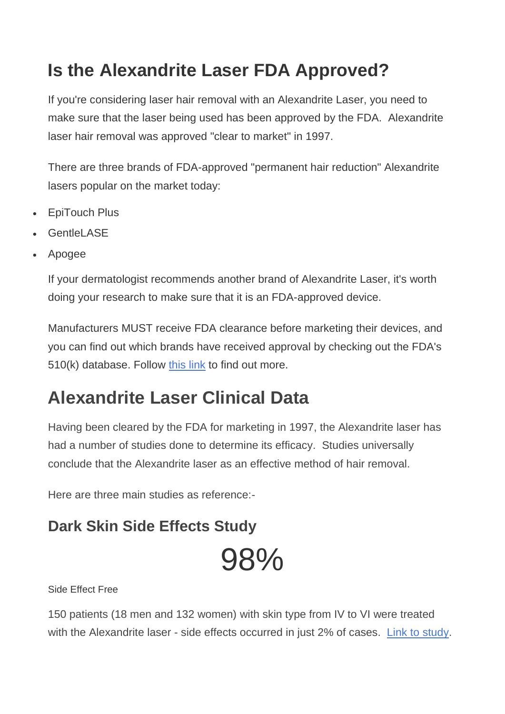# **Is the Alexandrite Laser FDA Approved?**

If you're considering laser hair removal with an Alexandrite Laser, you need to make sure that the laser being used has been approved by the FDA. Alexandrite laser hair removal was approved "clear to market" in 1997.

There are three brands of FDA-approved "permanent hair reduction" Alexandrite lasers popular on the market today:

- EpiTouch Plus
- Gentlel ASF
- Apogee

If your dermatologist recommends another brand of Alexandrite Laser, it's worth doing your research to make sure that it is an FDA-approved device.

Manufacturers MUST receive FDA clearance before marketing their devices, and you can find out which brands have received approval by checking out the FDA's 510(k) database. Follow [this link](http://www.fda.gov/MedicalDevices/DeviceRegulationandGuidance/Databases/default.htm) to find out more.

# **Alexandrite Laser Clinical Data**

Having been cleared by the FDA for marketing in 1997, the Alexandrite laser has had a number of studies done to determine its efficacy. Studies universally conclude that the Alexandrite laser as an effective method of hair removal.

Here are three main studies as reference:-

#### **Dark Skin Side Effects Study**

# 98%

Side Effect Free

150 patients (18 men and 132 women) with skin type from IV to VI were treated with the Alexandrite laser - side effects occurred in just 2% of cases. [Link to study.](http://onlinelibrary.wiley.com/doi/10.1046/j.1524-4725.2000.99185.x/abstract?systemMessage=Wiley+Online+Library+will+be+disrupted+on+the+18th+October+from+10%3A00+BST+%2805%3A00+EDT%29+for+essential+maintenance+for+approximately+two+hours+as+we+make+upgrades+to+improve+our+services+to+you)